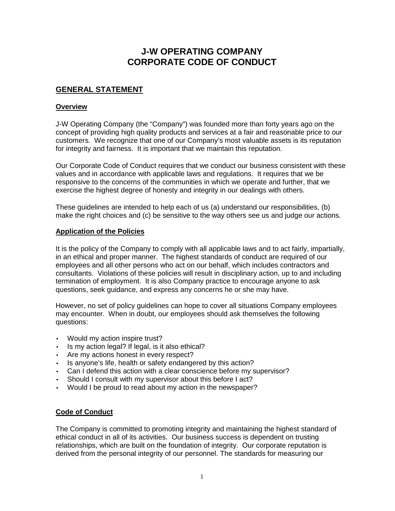# **J-W OPERATING COMPANY CORPORATE CODE OF CONDUCT**

## **GENERAL STATEMENT**

## **Overview**

J-W Operating Company (the "Company") was founded more than forty years ago on the concept of providing high quality products and services at a fair and reasonable price to our customers. We recognize that one of our Company's most valuable assets is its reputation for integrity and fairness. It is important that we maintain this reputation.

Our Corporate Code of Conduct requires that we conduct our business consistent with these values and in accordance with applicable laws and regulations. It requires that we be responsive to the concerns of the communities in which we operate and further, that we exercise the highest degree of honesty and integrity in our dealings with others.

These guidelines are intended to help each of us (a) understand our responsibilities, (b) make the right choices and (c) be sensitive to the way others see us and judge our actions.

## **Application of the Policies**

It is the policy of the Company to comply with all applicable laws and to act fairly, impartially, in an ethical and proper manner. The highest standards of conduct are required of our employees and all other persons who act on our behalf, which includes contractors and consultants. Violations of these policies will result in disciplinary action, up to and including termination of employment. It is also Company practice to encourage anyone to ask questions, seek guidance, and express any concerns he or she may have.

However, no set of policy guidelines can hope to cover all situations Company employees may encounter. When in doubt, our employees should ask themselves the following questions:

- Would my action inspire trust?
- Is my action legal? If legal, is it also ethical?
- Are my actions honest in every respect?
- Is anyone's life, health or safety endangered by this action?
- Can I defend this action with a clear conscience before my supervisor?
- Should I consult with my supervisor about this before I act?
- Would I be proud to read about my action in the newspaper?

## **Code of Conduct**

The Company is committed to promoting integrity and maintaining the highest standard of ethical conduct in all of its activities. Our business success is dependent on trusting relationships, which are built on the foundation of integrity. Our corporate reputation is derived from the personal integrity of our personnel. The standards for measuring our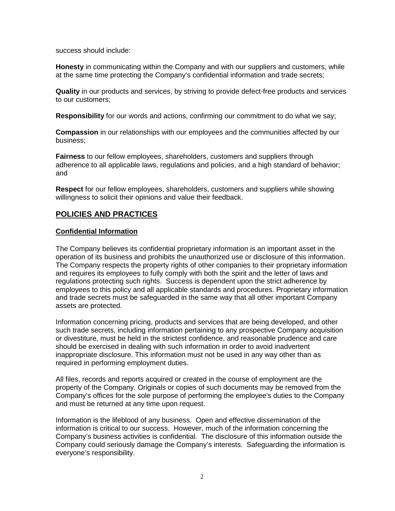success should include:

**Honesty** in communicating within the Company and with our suppliers and customers, while at the same time protecting the Company's confidential information and trade secrets;

**Quality** in our products and services, by striving to provide defect-free products and services to our customers;

**Responsibility** for our words and actions, confirming our commitment to do what we say;

**Compassion** in our relationships with our employees and the communities affected by our business;

**Fairness** to our fellow employees, shareholders, customers and suppliers through adherence to all applicable laws, regulations and policies, and a high standard of behavior; and

**Respect** for our fellow employees, shareholders, customers and suppliers while showing willingness to solicit their opinions and value their feedback.

## **POLICIES AND PRACTICES**

## **Confidential Information**

The Company believes its confidential proprietary information is an important asset in the operation of its business and prohibits the unauthorized use or disclosure of this information. The Company respects the property rights of other companies to their proprietary information and requires its employees to fully comply with both the spirit and the letter of laws and regulations protecting such rights. Success is dependent upon the strict adherence by employees to this policy and all applicable standards and procedures. Proprietary information and trade secrets must be safeguarded in the same way that all other important Company assets are protected.

Information concerning pricing, products and services that are being developed, and other such trade secrets, including information pertaining to any prospective Company acquisition or divestiture, must be held in the strictest confidence, and reasonable prudence and care should be exercised in dealing with such information in order to avoid inadvertent inappropriate disclosure. This information must not be used in any way other than as required in performing employment duties.

All files, records and reports acquired or created in the course of employment are the property of the Company. Originals or copies of such documents may be removed from the Company's offices for the sole purpose of performing the employee's duties to the Company and must be returned at any time upon request.

Information is the lifeblood of any business. Open and effective dissemination of the information is critical to our success. However, much of the information concerning the Company's business activities is confidential. The disclosure of this information outside the Company could seriously damage the Company's interests. Safeguarding the information is everyone's responsibility.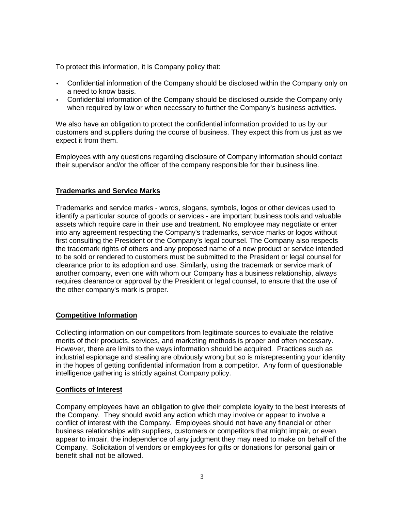To protect this information, it is Company policy that:

- Confidential information of the Company should be disclosed within the Company only on a need to know basis.
- Confidential information of the Company should be disclosed outside the Company only when required by law or when necessary to further the Company's business activities.

We also have an obligation to protect the confidential information provided to us by our customers and suppliers during the course of business. They expect this from us just as we expect it from them.

Employees with any questions regarding disclosure of Company information should contact their supervisor and/or the officer of the company responsible for their business line.

## **Trademarks and Service Marks**

Trademarks and service marks - words, slogans, symbols, logos or other devices used to identify a particular source of goods or services - are important business tools and valuable assets which require care in their use and treatment. No employee may negotiate or enter into any agreement respecting the Company's trademarks, service marks or logos without first consulting the President or the Company's legal counsel. The Company also respects the trademark rights of others and any proposed name of a new product or service intended to be sold or rendered to customers must be submitted to the President or legal counsel for clearance prior to its adoption and use. Similarly, using the trademark or service mark of another company, even one with whom our Company has a business relationship, always requires clearance or approval by the President or legal counsel, to ensure that the use of the other company's mark is proper.

## **Competitive Information**

Collecting information on our competitors from legitimate sources to evaluate the relative merits of their products, services, and marketing methods is proper and often necessary. However, there are limits to the ways information should be acquired. Practices such as industrial espionage and stealing are obviously wrong but so is misrepresenting your identity in the hopes of getting confidential information from a competitor. Any form of questionable intelligence gathering is strictly against Company policy.

#### **Conflicts of Interest**

Company employees have an obligation to give their complete loyalty to the best interests of the Company. They should avoid any action which may involve or appear to involve a conflict of interest with the Company. Employees should not have any financial or other business relationships with suppliers, customers or competitors that might impair, or even appear to impair, the independence of any judgment they may need to make on behalf of the Company. Solicitation of vendors or employees for gifts or donations for personal gain or benefit shall not be allowed.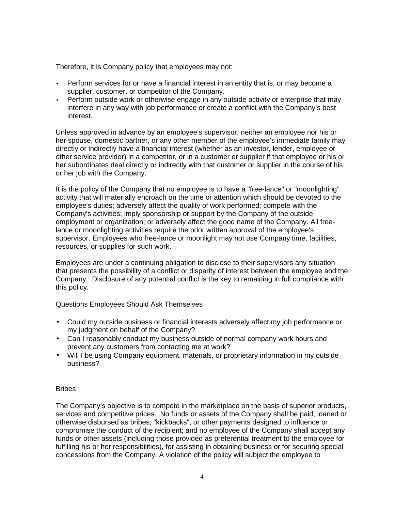Therefore, it is Company policy that employees may not:

- Perform services for or have a financial interest in an entity that is, or may become a supplier, customer, or competitor of the Company.
- Perform outside work or otherwise engage in any outside activity or enterprise that may interfere in any way with job performance or create a conflict with the Company's best interest.

Unless approved in advance by an employee's supervisor, neither an employee nor his or her spouse, domestic partner, or any other member of the employee's immediate family may directly or indirectly have a financial interest (whether as an investor, lender, employee or other service provider) in a competitor, or in a customer or supplier if that employee or his or her subordinates deal directly or indirectly with that customer or supplier in the course of his or her job with the Company.

It is the policy of the Company that no employee is to have a "free-lance" or "moonlighting" activity that will materially encroach on the time or attention which should be devoted to the employee's duties; adversely affect the quality of work performed; compete with the Company's activities; imply sponsorship or support by the Company of the outside employment or organization; or adversely affect the good name of the Company. All freelance or moonlighting activities require the prior written approval of the employee's supervisor. Employees who free-lance or moonlight may not use Company time, facilities, resources, or supplies for such work.

Employees are under a continuing obligation to disclose to their supervisors any situation that presents the possibility of a conflict or disparity of interest between the employee and the Company. Disclosure of any potential conflict is the key to remaining in full compliance with this policy.

Questions Employees Should Ask Themselves

- Could my outside business or financial interests adversely affect my job performance or my judgment on behalf of the Company?
- Can I reasonably conduct my business outside of normal company work hours and prevent any customers from contacting me at work?
- Will I be using Company equipment, materials, or proprietary information in my outside business?

#### Bribes

The Company's objective is to compete in the marketplace on the basis of superior products, services and competitive prices. No funds or assets of the Company shall be paid, loaned or otherwise disbursed as bribes, "kickbacks", or other payments designed to influence or compromise the conduct of the recipient; and no employee of the Company shall accept any funds or other assets (including those provided as preferential treatment to the employee for fulfilling his or her responsibilities), for assisting in obtaining business or for securing special concessions from the Company. A violation of the policy will subject the employee to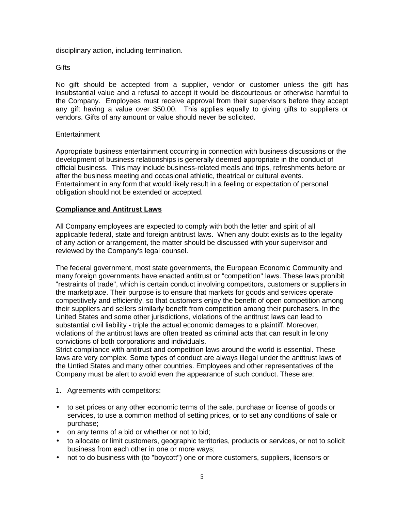disciplinary action, including termination.

### **Gifts**

No gift should be accepted from a supplier, vendor or customer unless the gift has insubstantial value and a refusal to accept it would be discourteous or otherwise harmful to the Company. Employees must receive approval from their supervisors before they accept any gift having a value over \$50.00. This applies equally to giving gifts to suppliers or vendors. Gifts of any amount or value should never be solicited.

## **Entertainment**

Appropriate business entertainment occurring in connection with business discussions or the development of business relationships is generally deemed appropriate in the conduct of official business. This may include business-related meals and trips, refreshments before or after the business meeting and occasional athletic, theatrical or cultural events. Entertainment in any form that would likely result in a feeling or expectation of personal obligation should not be extended or accepted.

## **Compliance and Antitrust Laws**

All Company employees are expected to comply with both the letter and spirit of all applicable federal, state and foreign antitrust laws. When any doubt exists as to the legality of any action or arrangement, the matter should be discussed with your supervisor and reviewed by the Company's legal counsel.

The federal government, most state governments, the European Economic Community and many foreign governments have enacted antitrust or "competition" laws. These laws prohibit "restraints of trade", which is certain conduct involving competitors, customers or suppliers in the marketplace. Their purpose is to ensure that markets for goods and services operate competitively and efficiently, so that customers enjoy the benefit of open competition among their suppliers and sellers similarly benefit from competition among their purchasers. In the United States and some other jurisdictions, violations of the antitrust laws can lead to substantial civil liability - triple the actual economic damages to a plaintiff. Moreover, violations of the antitrust laws are often treated as criminal acts that can result in felony convictions of both corporations and individuals.

Strict compliance with antitrust and competition laws around the world is essential. These laws are very complex. Some types of conduct are always illegal under the antitrust laws of the Untied States and many other countries. Employees and other representatives of the Company must be alert to avoid even the appearance of such conduct. These are:

- 1. Agreements with competitors:
- to set prices or any other economic terms of the sale, purchase or license of goods or services, to use a common method of setting prices, or to set any conditions of sale or purchase;
- on any terms of a bid or whether or not to bid;
- to allocate or limit customers, geographic territories, products or services, or not to solicit business from each other in one or more ways;
- not to do business with (to "boycott") one or more customers, suppliers, licensors or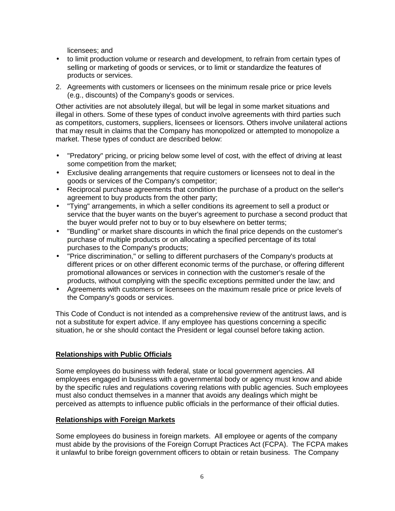licensees; and

- to limit production volume or research and development, to refrain from certain types of selling or marketing of goods or services, or to limit or standardize the features of products or services.
- 2. Agreements with customers or licensees on the minimum resale price or price levels (e.g., discounts) of the Company's goods or services.

Other activities are not absolutely illegal, but will be legal in some market situations and illegal in others. Some of these types of conduct involve agreements with third parties such as competitors, customers, suppliers, licensees or licensors. Others involve unilateral actions that may result in claims that the Company has monopolized or attempted to monopolize a market. These types of conduct are described below:

- "Predatory" pricing, or pricing below some level of cost, with the effect of driving at least some competition from the market;
- Exclusive dealing arrangements that require customers or licensees not to deal in the goods or services of the Company's competitor;
- Reciprocal purchase agreements that condition the purchase of a product on the seller's agreement to buy products from the other party;
- "Tying" arrangements, in which a seller conditions its agreement to sell a product or service that the buyer wants on the buyer's agreement to purchase a second product that the buyer would prefer not to buy or to buy elsewhere on better terms;
- "Bundling" or market share discounts in which the final price depends on the customer's purchase of multiple products or on allocating a specified percentage of its total purchases to the Company's products;
- "Price discrimination," or selling to different purchasers of the Company's products at different prices or on other different economic terms of the purchase, or offering different promotional allowances or services in connection with the customer's resale of the products, without complying with the specific exceptions permitted under the law; and
- Agreements with customers or licensees on the maximum resale price or price levels of the Company's goods or services.

This Code of Conduct is not intended as a comprehensive review of the antitrust laws, and is not a substitute for expert advice. If any employee has questions concerning a specific situation, he or she should contact the President or legal counsel before taking action.

## **Relationships with Public Officials**

Some employees do business with federal, state or local government agencies. All employees engaged in business with a governmental body or agency must know and abide by the specific rules and regulations covering relations with public agencies. Such employees must also conduct themselves in a manner that avoids any dealings which might be perceived as attempts to influence public officials in the performance of their official duties.

#### **Relationships with Foreign Markets**

Some employees do business in foreign markets. All employee or agents of the company must abide by the provisions of the Foreign Corrupt Practices Act (FCPA). The FCPA makes it unlawful to bribe foreign government officers to obtain or retain business. The Company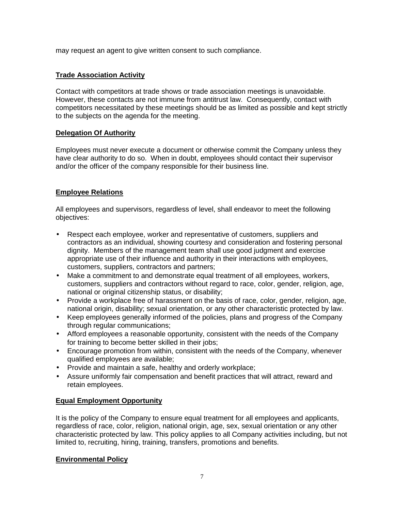may request an agent to give written consent to such compliance.

## **Trade Association Activity**

Contact with competitors at trade shows or trade association meetings is unavoidable. However, these contacts are not immune from antitrust law. Consequently, contact with competitors necessitated by these meetings should be as limited as possible and kept strictly to the subjects on the agenda for the meeting.

## **Delegation Of Authority**

Employees must never execute a document or otherwise commit the Company unless they have clear authority to do so. When in doubt, employees should contact their supervisor and/or the officer of the company responsible for their business line.

## **Employee Relations**

All employees and supervisors, regardless of level, shall endeavor to meet the following objectives:

- Respect each employee, worker and representative of customers, suppliers and contractors as an individual, showing courtesy and consideration and fostering personal dignity. Members of the management team shall use good judgment and exercise appropriate use of their influence and authority in their interactions with employees, customers, suppliers, contractors and partners;
- Make a commitment to and demonstrate equal treatment of all employees, workers, customers, suppliers and contractors without regard to race, color, gender, religion, age, national or original citizenship status, or disability;
- Provide a workplace free of harassment on the basis of race, color, gender, religion, age, national origin, disability; sexual orientation, or any other characteristic protected by law.
- Keep employees generally informed of the policies, plans and progress of the Company through regular communications;
- Afford employees a reasonable opportunity, consistent with the needs of the Company for training to become better skilled in their jobs;
- Encourage promotion from within, consistent with the needs of the Company, whenever qualified employees are available;
- Provide and maintain a safe, healthy and orderly workplace;
- Assure uniformly fair compensation and benefit practices that will attract, reward and retain employees.

## **Equal Employment Opportunity**

It is the policy of the Company to ensure equal treatment for all employees and applicants, regardless of race, color, religion, national origin, age, sex, sexual orientation or any other characteristic protected by law. This policy applies to all Company activities including, but not limited to, recruiting, hiring, training, transfers, promotions and benefits.

## **Environmental Policy**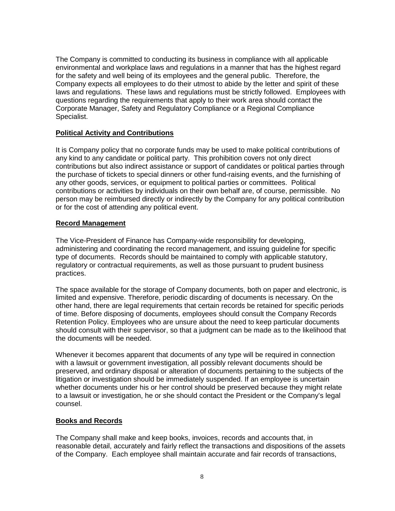The Company is committed to conducting its business in compliance with all applicable environmental and workplace laws and regulations in a manner that has the highest regard for the safety and well being of its employees and the general public. Therefore, the Company expects all employees to do their utmost to abide by the letter and spirit of these laws and regulations. These laws and regulations must be strictly followed. Employees with questions regarding the requirements that apply to their work area should contact the Corporate Manager, Safety and Regulatory Compliance or a Regional Compliance Specialist.

## **Political Activity and Contributions**

It is Company policy that no corporate funds may be used to make political contributions of any kind to any candidate or political party. This prohibition covers not only direct contributions but also indirect assistance or support of candidates or political parties through the purchase of tickets to special dinners or other fund-raising events, and the furnishing of any other goods, services, or equipment to political parties or committees. Political contributions or activities by individuals on their own behalf are, of course, permissible. No person may be reimbursed directly or indirectly by the Company for any political contribution or for the cost of attending any political event.

#### **Record Management**

The Vice-President of Finance has Company-wide responsibility for developing, administering and coordinating the record management, and issuing guideline for specific type of documents. Records should be maintained to comply with applicable statutory, regulatory or contractual requirements, as well as those pursuant to prudent business practices.

The space available for the storage of Company documents, both on paper and electronic, is limited and expensive. Therefore, periodic discarding of documents is necessary. On the other hand, there are legal requirements that certain records be retained for specific periods of time. Before disposing of documents, employees should consult the Company Records Retention Policy. Employees who are unsure about the need to keep particular documents should consult with their supervisor, so that a judgment can be made as to the likelihood that the documents will be needed.

Whenever it becomes apparent that documents of any type will be required in connection with a lawsuit or government investigation, all possibly relevant documents should be preserved, and ordinary disposal or alteration of documents pertaining to the subjects of the litigation or investigation should be immediately suspended. If an employee is uncertain whether documents under his or her control should be preserved because they might relate to a lawsuit or investigation, he or she should contact the President or the Company's legal counsel.

#### **Books and Records**

The Company shall make and keep books, invoices, records and accounts that, in reasonable detail, accurately and fairly reflect the transactions and dispositions of the assets of the Company. Each employee shall maintain accurate and fair records of transactions,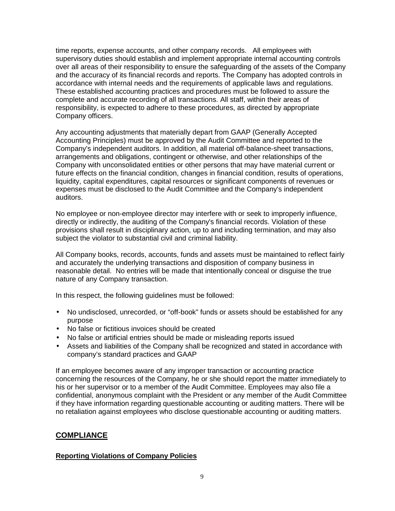time reports, expense accounts, and other company records. All employees with supervisory duties should establish and implement appropriate internal accounting controls over all areas of their responsibility to ensure the safeguarding of the assets of the Company and the accuracy of its financial records and reports. The Company has adopted controls in accordance with internal needs and the requirements of applicable laws and regulations. These established accounting practices and procedures must be followed to assure the complete and accurate recording of all transactions. All staff, within their areas of responsibility, is expected to adhere to these procedures, as directed by appropriate Company officers.

Any accounting adjustments that materially depart from GAAP (Generally Accepted Accounting Principles) must be approved by the Audit Committee and reported to the Company's independent auditors. In addition, all material off-balance-sheet transactions, arrangements and obligations, contingent or otherwise, and other relationships of the Company with unconsolidated entities or other persons that may have material current or future effects on the financial condition, changes in financial condition, results of operations, liquidity, capital expenditures, capital resources or significant components of revenues or expenses must be disclosed to the Audit Committee and the Company's independent auditors.

No employee or non-employee director may interfere with or seek to improperly influence, directly or indirectly, the auditing of the Company's financial records. Violation of these provisions shall result in disciplinary action, up to and including termination, and may also subject the violator to substantial civil and criminal liability.

All Company books, records, accounts, funds and assets must be maintained to reflect fairly and accurately the underlying transactions and disposition of company business in reasonable detail. No entries will be made that intentionally conceal or disguise the true nature of any Company transaction.

In this respect, the following guidelines must be followed:

- No undisclosed, unrecorded, or "off-book" funds or assets should be established for any purpose
- No false or fictitious invoices should be created
- No false or artificial entries should be made or misleading reports issued
- Assets and liabilities of the Company shall be recognized and stated in accordance with company's standard practices and GAAP

If an employee becomes aware of any improper transaction or accounting practice concerning the resources of the Company, he or she should report the matter immediately to his or her supervisor or to a member of the Audit Committee. Employees may also file a confidential, anonymous complaint with the President or any member of the Audit Committee if they have information regarding questionable accounting or auditing matters. There will be no retaliation against employees who disclose questionable accounting or auditing matters.

## **COMPLIANCE**

## **Reporting Violations of Company Policies**